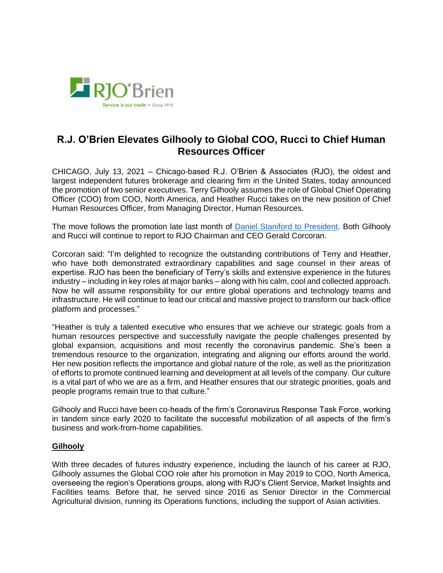

## **R.J. O'Brien Elevates Gilhooly to Global COO, Rucci to Chief Human Resources Officer**

CHICAGO, July 13, 2021 – Chicago-based R.J. O'Brien & Associates (RJO), the oldest and largest independent futures brokerage and clearing firm in the United States, today announced the promotion of two senior executives. Terry Gilhooly assumes the role of Global Chief Operating Officer (COO) from COO, North America, and Heather Rucci takes on the new position of Chief Human Resources Officer, from Managing Director, Human Resources.

The move follows the promotion late last month of [Daniel Staniford to President.](https://www.rjobrien.com/rjo-promotes-staniford-to-president/) Both Gilhooly and Rucci will continue to report to RJO Chairman and CEO Gerald Corcoran.

Corcoran said: "I'm delighted to recognize the outstanding contributions of Terry and Heather, who have both demonstrated extraordinary capabilities and sage counsel in their areas of expertise. RJO has been the beneficiary of Terry's skills and extensive experience in the futures industry – including in key roles at major banks – along with his calm, cool and collected approach. Now he will assume responsibility for our entire global operations and technology teams and infrastructure. He will continue to lead our critical and massive project to transform our back-office platform and processes."

"Heather is truly a talented executive who ensures that we achieve our strategic goals from a human resources perspective and successfully navigate the people challenges presented by global expansion, acquisitions and most recently the coronavirus pandemic. She's been a tremendous resource to the organization, integrating and aligning our efforts around the world. Her new position reflects the importance and global nature of the role, as well as the prioritization of efforts to promote continued learning and development at all levels of the company. Our culture is a vital part of who we are as a firm, and Heather ensures that our strategic priorities, goals and people programs remain true to that culture."

Gilhooly and Rucci have been co-heads of the firm's Coronavirus Response Task Force, working in tandem since early 2020 to facilitate the successful mobilization of all aspects of the firm's business and work-from-home capabilities.

## **Gilhooly**

With three decades of futures industry experience, including the launch of his career at RJO, Gilhooly assumes the Global COO role after his promotion in May 2019 to COO, North America, overseeing the region's Operations groups, along with RJO's Client Service, Market Insights and Facilities teams. Before that, he served since 2016 as Senior Director in the Commercial Agricultural division, running its Operations functions, including the support of Asian activities.